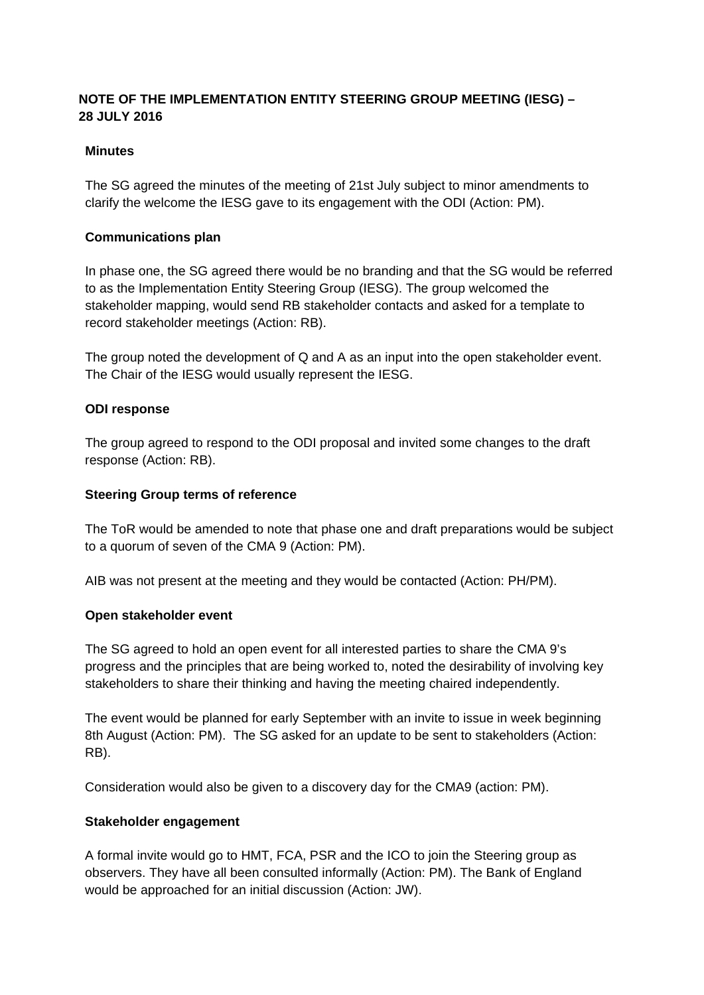# **NOTE OF THE IMPLEMENTATION ENTITY STEERING GROUP MEETING (IESG) – 28 JULY 2016**

## **Minutes**

The SG agreed the minutes of the meeting of 21st July subject to minor amendments to clarify the welcome the IESG gave to its engagement with the ODI (Action: PM).

## **Communications plan**

In phase one, the SG agreed there would be no branding and that the SG would be referred to as the Implementation Entity Steering Group (IESG). The group welcomed the stakeholder mapping, would send RB stakeholder contacts and asked for a template to record stakeholder meetings (Action: RB).

The group noted the development of Q and A as an input into the open stakeholder event. The Chair of the IESG would usually represent the IESG.

#### **ODI response**

The group agreed to respond to the ODI proposal and invited some changes to the draft response (Action: RB).

#### **Steering Group terms of reference**

The ToR would be amended to note that phase one and draft preparations would be subject to a quorum of seven of the CMA 9 (Action: PM).

AIB was not present at the meeting and they would be contacted (Action: PH/PM).

#### **Open stakeholder event**

The SG agreed to hold an open event for all interested parties to share the CMA 9's progress and the principles that are being worked to, noted the desirability of involving key stakeholders to share their thinking and having the meeting chaired independently.

The event would be planned for early September with an invite to issue in week beginning 8th August (Action: PM). The SG asked for an update to be sent to stakeholders (Action: RB).

Consideration would also be given to a discovery day for the CMA9 (action: PM).

#### **Stakeholder engagement**

A formal invite would go to HMT, FCA, PSR and the ICO to join the Steering group as observers. They have all been consulted informally (Action: PM). The Bank of England would be approached for an initial discussion (Action: JW).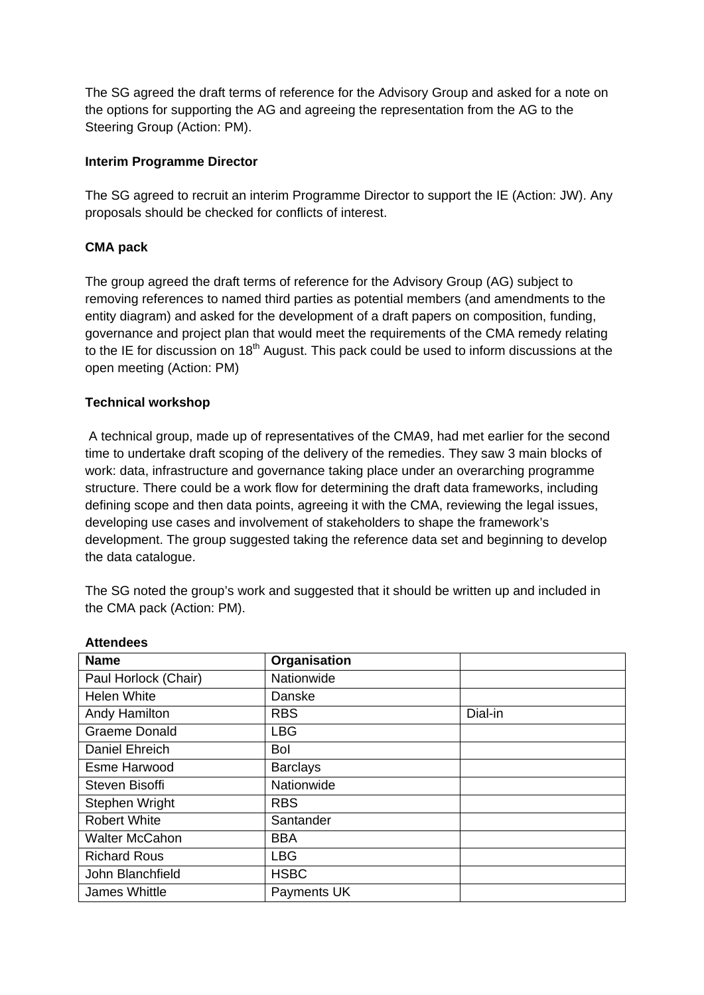The SG agreed the draft terms of reference for the Advisory Group and asked for a note on the options for supporting the AG and agreeing the representation from the AG to the Steering Group (Action: PM).

## **Interim Programme Director**

The SG agreed to recruit an interim Programme Director to support the IE (Action: JW). Any proposals should be checked for conflicts of interest.

## **CMA pack**

The group agreed the draft terms of reference for the Advisory Group (AG) subject to removing references to named third parties as potential members (and amendments to the entity diagram) and asked for the development of a draft papers on composition, funding, governance and project plan that would meet the requirements of the CMA remedy relating to the IE for discussion on  $18<sup>th</sup>$  August. This pack could be used to inform discussions at the open meeting (Action: PM)

## **Technical workshop**

A technical group, made up of representatives of the CMA9, had met earlier for the second time to undertake draft scoping of the delivery of the remedies. They saw 3 main blocks of work: data, infrastructure and governance taking place under an overarching programme structure. There could be a work flow for determining the draft data frameworks, including defining scope and then data points, agreeing it with the CMA, reviewing the legal issues, developing use cases and involvement of stakeholders to shape the framework's development. The group suggested taking the reference data set and beginning to develop the data catalogue.

The SG noted the group's work and suggested that it should be written up and included in the CMA pack (Action: PM).

| <b>Name</b>           | Organisation    |         |
|-----------------------|-----------------|---------|
| Paul Horlock (Chair)  | Nationwide      |         |
| <b>Helen White</b>    | Danske          |         |
| Andy Hamilton         | <b>RBS</b>      | Dial-in |
| <b>Graeme Donald</b>  | <b>LBG</b>      |         |
| Daniel Ehreich        | Bol             |         |
| <b>Esme Harwood</b>   | <b>Barclays</b> |         |
| Steven Bisoffi        | Nationwide      |         |
| Stephen Wright        | <b>RBS</b>      |         |
| <b>Robert White</b>   | Santander       |         |
| <b>Walter McCahon</b> | <b>BBA</b>      |         |
| <b>Richard Rous</b>   | <b>LBG</b>      |         |
| John Blanchfield      | <b>HSBC</b>     |         |
| James Whittle         | Payments UK     |         |

**Attendees**